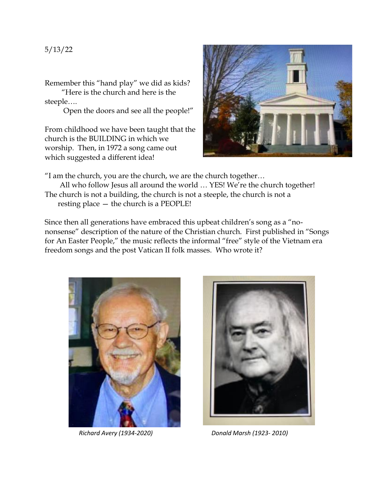Remember this "hand play" we did as kids?

 "Here is the church and here is the steeple….

Open the doors and see all the people!"

From childhood we have been taught that the church is the BUILDING in which we worship. Then, in 1972 a song came out which suggested a different idea!



"I am the church, you are the church, we are the church together…

All who follow Jesus all around the world ... YES! We're the church together! The church is not a building, the church is not a steeple, the church is not a resting place — the church is a PEOPLE!

Since then all generations have embraced this upbeat children's song as a "nononsense" description of the nature of the Christian church. First published in "Songs for An Easter People," the music reflects the informal "free" style of the Vietnam era freedom songs and the post Vatican II folk masses. Who wrote it?





*Richard Avery (1934-2020) Donald Marsh (1923- 2010)*